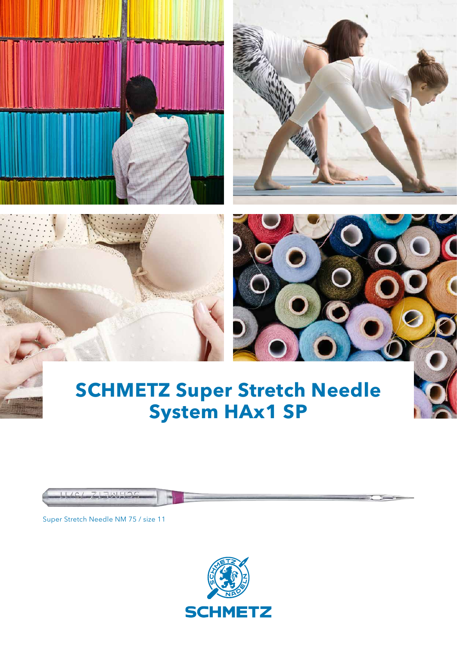







## **SCHMETZ Super Stretch Needle System HAx1 SP**

Super Stretch Needle NM 75 / size 11